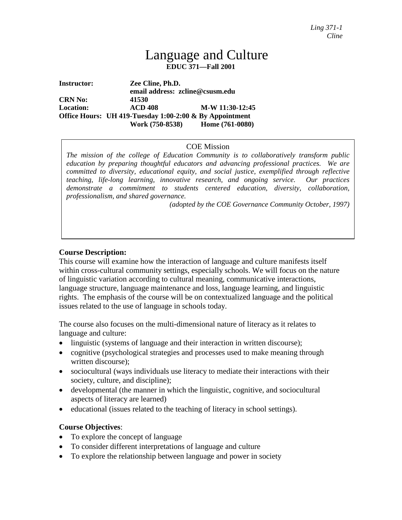# Language and Culture **EDUC 371—Fall 2001**

**Instructor: Zee Cline, Ph.D. email address: zcline@csusm.edu CRN No: 41530 Location: ACD 408 M-W 11:30-12:45 Office Hours: UH 419-Tuesday 1:00-2:00 & By Appointment Work (750-8538) Home (761-0080)**

#### COE Mission

*The mission of the college of Education Community is to collaboratively transform public education by preparing thoughtful educators and advancing professional practices. We are committed to diversity, educational equity, and social justice, exemplified through reflective teaching, life-long learning, innovative research, and ongoing service. Our practices demonstrate a commitment to students centered education, diversity, collaboration, professionalism, and shared governance.*

*(adopted by the COE Governance Community October, 1997)*

#### **Course Description:**

This course will examine how the interaction of language and culture manifests itself within cross-cultural community settings, especially schools. We will focus on the nature of linguistic variation according to cultural meaning, communicative interactions, language structure, language maintenance and loss, language learning, and linguistic rights. The emphasis of the course will be on contextualized language and the political issues related to the use of language in schools today.

The course also focuses on the multi-dimensional nature of literacy as it relates to language and culture:

- linguistic (systems of language and their interaction in written discourse);
- cognitive (psychological strategies and processes used to make meaning through written discourse);
- sociocultural (ways individuals use literacy to mediate their interactions with their society, culture, and discipline);
- developmental (the manner in which the linguistic, cognitive, and sociocultural aspects of literacy are learned)
- educational (issues related to the teaching of literacy in school settings).

#### **Course Objectives**:

- To explore the concept of language
- To consider different interpretations of language and culture
- To explore the relationship between language and power in society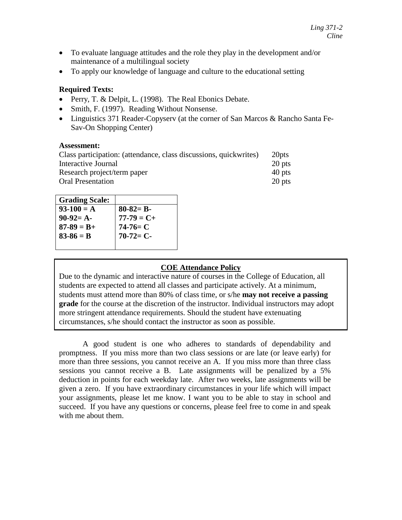- To evaluate language attitudes and the role they play in the development and/or maintenance of a multilingual society
- To apply our knowledge of language and culture to the educational setting

## **Required Texts:**

- Perry, T. & Delpit, L. (1998). The Real Ebonics Debate.
- Smith, F. (1997). Reading Without Nonsense.
- Linguistics 371 Reader-Copyserv (at the corner of San Marcos & Rancho Santa Fe-Sav-On Shopping Center)

#### **Assessment:**

| Class participation: (attendance, class discussions, quickwrites) | 20 <sub>pts</sub> |
|-------------------------------------------------------------------|-------------------|
| Interactive Journal                                               | 20 pts            |
| Research project/term paper                                       | 40 pts            |
| <b>Oral Presentation</b>                                          | 20 pts            |

| <b>Grading Scale:</b> |                 |
|-----------------------|-----------------|
| $93-100 = A$          | $80 - 82 = B -$ |
| $90-92=$ A-           | $77 - 79 = C +$ |
| $87 - 89 = B +$       | $74-76= C$      |
| $83 - 86 = B$         | $70-72=C-$      |
|                       |                 |

## **COE Attendance Policy**

Due to the dynamic and interactive nature of courses in the College of Education, all students are expected to attend all classes and participate actively. At a minimum, students must attend more than 80% of class time, or s/he **may not receive a passing grade** for the course at the discretion of the instructor. Individual instructors may adopt more stringent attendance requirements. Should the student have extenuating circumstances, s/he should contact the instructor as soon as possible.

A good student is one who adheres to standards of dependability and promptness. If you miss more than two class sessions or are late (or leave early) for more than three sessions, you cannot receive an A. If you miss more than three class sessions you cannot receive a B. Late assignments will be penalized by a 5% deduction in points for each weekday late. After two weeks, late assignments will be given a zero. If you have extraordinary circumstances in your life which will impact your assignments, please let me know. I want you to be able to stay in school and succeed. If you have any questions or concerns, please feel free to come in and speak with me about them.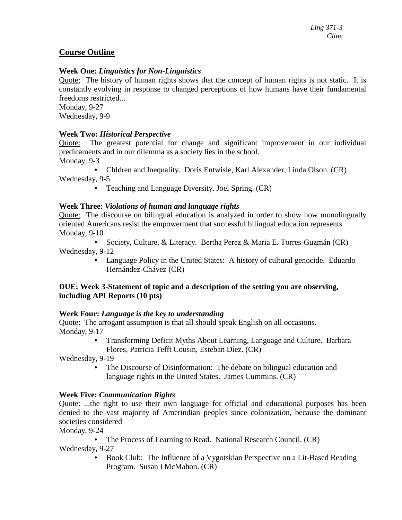## **Course Outline**

## **Week One:** *Linguistics for Non-Linguistics*

Quote: The history of human rights shows that the concept of human rights is not static. It is constantly evolving in response to changed perceptions of how humans have their fundamental freedoms restricted...

Monday, 9-27 Wednesday, 9-9

#### **Week Two:** *Historical Perspective*

Quote: The greatest potential for change and significant improvement in our individual predicaments and in our dilemma as a society lies in the school. Monday, 9-3

**•** Chldren and Inequality. Doris Entwisle, Karl Alexander, Linda Olson. (CR)

Wednesday, 9-5

**•** Teaching and Language Diversity. Joel Spring. (CR)

### **Week Three:** *Violations of human and language rights*

Quote: The discourse on bilingual education is analyzed in order to show how monolingually oriented Americans resist the empowerment that successful bilingual education represents. Monday, 9-10

**•** Society, Culture, & Literacy. Bertha Perez & Maria E. Torres-Guzmán (CR) Wednesday, 9-12

**•** Language Policy in the United States: A history of cultural genocide. Eduardo Hernández-Chávez (CR)

### **DUE: Week 3-Statement of topic and a description of the setting you are observing, including API Reports (10 pts)**

#### **Week Four:** *Language is the key to understanding*

Quote: The arrogant assumption is that all should speak English on all occasions. Monday, 9-17

> **•** Transforming Deficit Myths About Learning, Language and Culture. Barbara Flores, Patricia Tefft Cousin, Esteban Díez. (CR)

Wednesday, 9-19

**•** The Discourse of Disinformation: The debate on bilingual education and language rights in the United States. James Cummins. (CR)

#### **Week Five:** *Communication Rights*

Quote: ...the right to use their own language for official and educational purposes has been denied to the vast majority of Amerindian peoples since colonization, because the dominant societies considered

Monday, 9-24

**•** The Process of Learning to Read. National Research Council. (CR) Wednesday, 9-27

**•** Book Club: The Influence of a Vygotskian Perspective on a Lit-Based Reading Program. Susan I McMahon. (CR)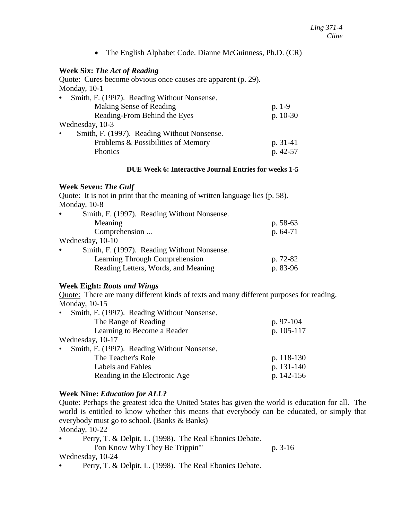• The English Alphabet Code. Dianne McGuinness, Ph.D. (CR)

## **Week Six:** *The Act of Reading*

Quote: Cures become obvious once causes are apparent (p. 29). Monday, 10-1

| Smith, F. (1997). Reading Without Nonsense.<br>$\bullet$ |            |
|----------------------------------------------------------|------------|
| Making Sense of Reading                                  | $p. 1-9$   |
| Reading-From Behind the Eyes                             | $p. 10-30$ |
| Wednesday, 10-3                                          |            |
| Smith, F. (1997). Reading Without Nonsense.<br>$\bullet$ |            |
| Problems & Possibilities of Memory                       | $p. 31-41$ |
| Phonics                                                  | p. 42-57   |

#### **DUE Week 6: Interactive Journal Entries for weeks 1-5**

#### **Week Seven:** *The Gulf*

| Quote: It is not in print that the meaning of written language lies (p. 58). |            |
|------------------------------------------------------------------------------|------------|
| Monday, 10-8                                                                 |            |
| Smith, F. (1997). Reading Without Nonsense.                                  |            |
| Meaning                                                                      | p. $58-63$ |
| Comprehension                                                                | $p.64-71$  |
| Wednesday, 10-10                                                             |            |
| Smith, F. (1997). Reading Without Nonsense.<br>$\bullet$                     |            |
| Learning Through Comprehension                                               | p. 72-82   |
| Reading Letters, Words, and Meaning                                          | p. 83-96   |

## **Week Eight:** *Roots and Wings*

Quote: There are many different kinds of texts and many different purposes for reading. Monday, 10-15

| Smith, F. (1997). Reading Without Nonsense.<br>$\bullet$ |            |
|----------------------------------------------------------|------------|
| The Range of Reading                                     | p. 97-104  |
| Learning to Become a Reader                              | p. 105-117 |
| Wednesday, 10-17                                         |            |
| Smith, F. (1997). Reading Without Nonsense.<br>$\bullet$ |            |
| The Teacher's Role                                       | p. 118-130 |
| Labels and Fables                                        | p. 131-140 |
| Reading in the Electronic Age                            | p. 142-156 |
|                                                          |            |

#### **Week Nine:** *Education for ALL?*

Quote: Perhaps the greatest idea the United States has given the world is education for all. The world is entitled to know whether this means that everybody can be educated, or simply that everybody must go to school. (Banks & Banks) Monday, 10-22

- **•** Perry, T. & Delpit, L. (1998). The Real Ebonics Debate. I've Know Why They Be Trippin'" p. 3-16 Wednesday, 10-24
- Perry, T. & Delpit, L. (1998). The Real Ebonics Debate.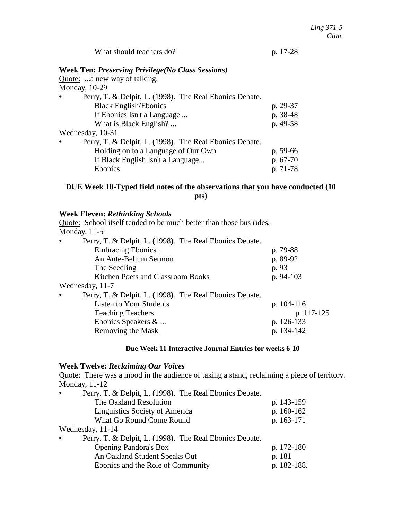## **DUE Week 10-Typed field notes of the observations that you have conducted (10 pts)**

## **Week Eleven:** *Rethinking Schools*

Quote: School itself tended to be much better than those bus rides*.* Monday, 11-5

| Perry, T. & Delpit, L. (1998). The Real Ebonics Debate.<br>$\bullet$ |              |
|----------------------------------------------------------------------|--------------|
| Embracing Ebonics                                                    | p. 79-88     |
| An Ante-Bellum Sermon                                                | p. 89-92     |
| The Seedling                                                         | p. 93        |
| Kitchen Poets and Classroom Books                                    | p. 94-103    |
| Wednesday, 11-7                                                      |              |
| Perry, T. & Delpit, L. (1998). The Real Ebonics Debate.              |              |
| <b>Listen to Your Students</b>                                       | p. $104-116$ |
| <b>Teaching Teachers</b>                                             | p. 117-125   |
| Ebonics Speakers &                                                   | p. 126-133   |
| Removing the Mask                                                    | p. 134-142   |

## **Due Week 11 Interactive Journal Entries for weeks 6-10**

#### **Week Twelve:** *Reclaiming Our Voices*

Quote: There was a mood in the audience of taking a stand, reclaiming a piece of territory. Monday, 11-12

| Perry, T. & Delpit, L. (1998). The Real Ebonics Debate.<br>$\bullet$ |             |
|----------------------------------------------------------------------|-------------|
| The Oakland Resolution                                               | p. 143-159  |
| Linguistics Society of America                                       | p. 160-162  |
| What Go Round Come Round                                             | p. 163-171  |
| Wednesday, 11-14                                                     |             |
| Perry, T. & Delpit, L. (1998). The Real Ebonics Debate.<br>$\bullet$ |             |
| <b>Opening Pandora's Box</b>                                         | p. 172-180  |
| An Oakland Student Speaks Out                                        | p. 181      |
| Ebonics and the Role of Community                                    | p. 182-188. |
|                                                                      |             |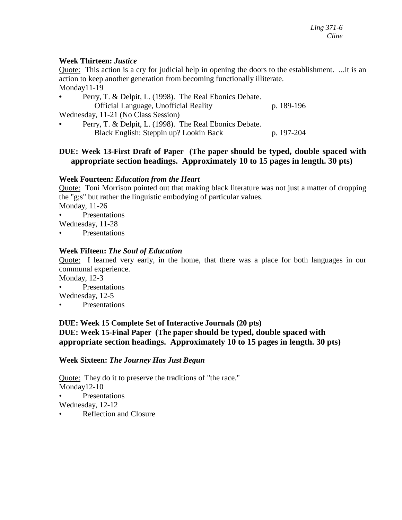## **Week Thirteen:** *Justice*

Quote: This action is a cry for judicial help in opening the doors to the establishment. ...it is an action to keep another generation from becoming functionally illiterate. Monday11-19

Perry, T. & Delpit, L. (1998). The Real Ebonics Debate. Official Language, Unofficial Reality p. 189-196 Wednesday, 11-21 (No Class Session) **•** Perry, T. & Delpit, L. (1998). The Real Ebonics Debate. Black English: Steppin up? Lookin Back p. 197-204

## **DUE: Week 13-First Draft of Paper (The paper should be typed, double spaced with appropriate section headings. Approximately 10 to 15 pages in length. 30 pts)**

## **Week Fourteen:** *Education from the Heart*

Quote: Toni Morrison pointed out that making black literature was not just a matter of dropping the "g;s" but rather the linguistic embodying of particular values.

Monday, 11-26 • Presentations

Wednesday, 11-28

• Presentations

## **Week Fifteen:** *The Soul of Education*

Quote: I learned very early, in the home, that there was a place for both languages in our communal experience.

Monday, 12-3

**Presentations** 

Wednesday, 12-5

• Presentations

## **DUE: Week 15 Complete Set of Interactive Journals (20 pts) DUE: Week 15-Final Paper (The paper should be typed, double spaced with appropriate section headings. Approximately 10 to 15 pages in length. 30 pts)**

## **Week Sixteen:** *The Journey Has Just Begun*

Quote: They do it to preserve the traditions of "the race." Monday12-10 **Presentations** 

Wednesday, 12-12

Reflection and Closure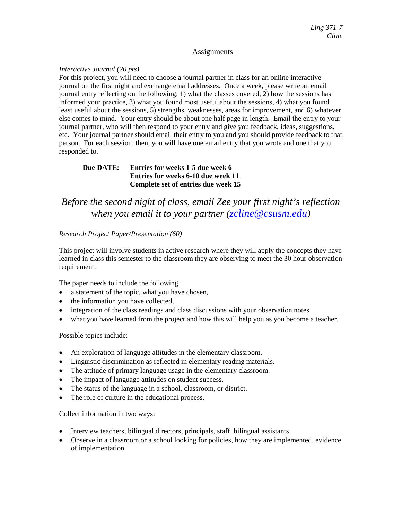#### **Assignments**

#### *Interactive Journal (20 pts)*

For this project, you will need to choose a journal partner in class for an online interactive journal on the first night and exchange email addresses. Once a week, please write an email journal entry reflecting on the following: 1) what the classes covered, 2) how the sessions has informed your practice, 3) what you found most useful about the sessions, 4) what you found least useful about the sessions, 5) strengths, weaknesses, areas for improvement, and 6) whatever else comes to mind. Your entry should be about one half page in length. Email the entry to your journal partner, who will then respond to your entry and give you feedback, ideas, suggestions, etc. Your journal partner should email their entry to you and you should provide feedback to that person. For each session, then, you will have one email entry that you wrote and one that you responded to.

#### **Due DATE: Entries for weeks 1-5 due week 6 Entries for weeks 6-10 due week 11 Complete set of entries due week 15**

# *Before the second night of class, email Zee your first night's reflection when you email it to your partner [\(zcline@csusm.edu\)](mailto:zcline@csusm.edu)*

#### *Research Project Paper/Presentation (60)*

This project will involve students in active research where they will apply the concepts they have learned in class this semester to the classroom they are observing to meet the 30 hour observation requirement.

The paper needs to include the following

- a statement of the topic, what you have chosen,
- the information you have collected,
- integration of the class readings and class discussions with your observation notes
- what you have learned from the project and how this will help you as you become a teacher.

Possible topics include:

- An exploration of language attitudes in the elementary classroom.
- Linguistic discrimination as reflected in elementary reading materials.
- The attitude of primary language usage in the elementary classroom.
- The impact of language attitudes on student success.
- The status of the language in a school, classroom, or district.
- The role of culture in the educational process.

Collect information in two ways:

- Interview teachers, bilingual directors, principals, staff, bilingual assistants
- Observe in a classroom or a school looking for policies, how they are implemented, evidence of implementation